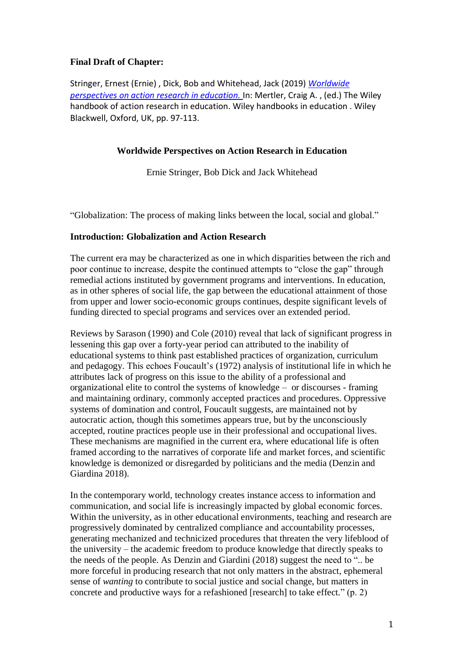# **Final Draft of Chapter:**

Stringer, Ernest (Ernie) , Dick, Bob and Whitehead, Jack (2019) *[Worldwide](http://insight.cumbria.ac.uk/id/eprint/4481/)  [perspectives on action research in education.](http://insight.cumbria.ac.uk/id/eprint/4481/)* In: Mertler, Craig A. , (ed.) The Wiley handbook of action research in education. Wiley handbooks in education . Wiley Blackwell, Oxford, UK, pp. 97-113.

### **Worldwide Perspectives on Action Research in Education**

Ernie Stringer, Bob Dick and Jack Whitehead

"Globalization: The process of making links between the local, social and global."

### **Introduction: Globalization and Action Research**

The current era may be characterized as one in which disparities between the rich and poor continue to increase, despite the continued attempts to "close the gap" through remedial actions instituted by government programs and interventions. In education, as in other spheres of social life, the gap between the educational attainment of those from upper and lower socio-economic groups continues, despite significant levels of funding directed to special programs and services over an extended period.

Reviews by Sarason (1990) and Cole (2010) reveal that lack of significant progress in lessening this gap over a forty-year period can attributed to the inability of educational systems to think past established practices of organization, curriculum and pedagogy. This echoes Foucault's (1972) analysis of institutional life in which he attributes lack of progress on this issue to the ability of a professional and organizational elite to control the systems of knowledge – or discourses - framing and maintaining ordinary, commonly accepted practices and procedures. Oppressive systems of domination and control, Foucault suggests, are maintained not by autocratic action, though this sometimes appears true, but by the unconsciously accepted, routine practices people use in their professional and occupational lives. These mechanisms are magnified in the current era, where educational life is often framed according to the narratives of corporate life and market forces, and scientific knowledge is demonized or disregarded by politicians and the media (Denzin and Giardina 2018).

In the contemporary world, technology creates instance access to information and communication, and social life is increasingly impacted by global economic forces. Within the university, as in other educational environments, teaching and research are progressively dominated by centralized compliance and accountability processes, generating mechanized and technicized procedures that threaten the very lifeblood of the university – the academic freedom to produce knowledge that directly speaks to the needs of the people. As Denzin and Giardini (2018) suggest the need to ".. be more forceful in producing research that not only matters in the abstract, ephemeral sense of *wanting* to contribute to social justice and social change, but matters in concrete and productive ways for a refashioned [research] to take effect." (p. 2)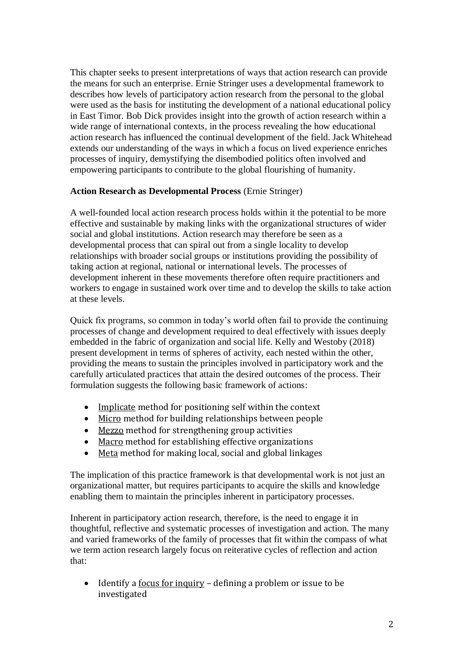This chapter seeks to present interpretations of ways that action research can provide the means for such an enterprise. Ernie Stringer uses a developmental framework to describes how levels of participatory action research from the personal to the global were used as the basis for instituting the development of a national educational policy in East Timor. Bob Dick provides insight into the growth of action research within a wide range of international contexts, in the process revealing the how educational action research has influenced the continual development of the field. Jack Whitehead extends our understanding of the ways in which a focus on lived experience enriches processes of inquiry, demystifying the disembodied politics often involved and empowering participants to contribute to the global flourishing of humanity.

## **Action Research as Developmental Process** (Ernie Stringer)

A well-founded local action research process holds within it the potential to be more effective and sustainable by making links with the organizational structures of wider social and global institutions. Action research may therefore be seen as a developmental process that can spiral out from a single locality to develop relationships with broader social groups or institutions providing the possibility of taking action at regional, national or international levels. The processes of development inherent in these movements therefore often require practitioners and workers to engage in sustained work over time and to develop the skills to take action at these levels.

Quick fix programs, so common in today's world often fail to provide the continuing processes of change and development required to deal effectively with issues deeply embedded in the fabric of organization and social life. Kelly and Westoby (2018) present development in terms of spheres of activity, each nested within the other, providing the means to sustain the principles involved in participatory work and the carefully articulated practices that attain the desired outcomes of the process. Their formulation suggests the following basic framework of actions:

- Implicate method for positioning self within the context
- Micro method for building relationships between people
- Mezzo method for strengthening group activities
- Macro method for establishing effective organizations
- Meta method for making local, social and global linkages

The implication of this practice framework is that developmental work is not just an organizational matter, but requires participants to acquire the skills and knowledge enabling them to maintain the principles inherent in participatory processes.

Inherent in participatory action research, therefore, is the need to engage it in thoughtful, reflective and systematic processes of investigation and action. The many and varied frameworks of the family of processes that fit within the compass of what we term action research largely focus on reiterative cycles of reflection and action that:

• Identify a <u>focus for inquiry</u> – defining a problem or issue to be investigated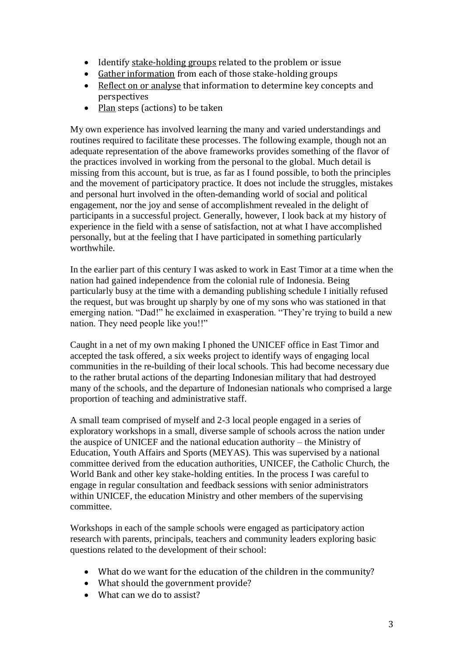- Identify stake-holding groups related to the problem or issue
- Gather information from each of those stake-holding groups
- Reflect on or analyse that information to determine key concepts and perspectives
- Plan steps (actions) to be taken

My own experience has involved learning the many and varied understandings and routines required to facilitate these processes. The following example, though not an adequate representation of the above frameworks provides something of the flavor of the practices involved in working from the personal to the global. Much detail is missing from this account, but is true, as far as I found possible, to both the principles and the movement of participatory practice. It does not include the struggles, mistakes and personal hurt involved in the often-demanding world of social and political engagement, nor the joy and sense of accomplishment revealed in the delight of participants in a successful project. Generally, however, I look back at my history of experience in the field with a sense of satisfaction, not at what I have accomplished personally, but at the feeling that I have participated in something particularly worthwhile.

In the earlier part of this century I was asked to work in East Timor at a time when the nation had gained independence from the colonial rule of Indonesia. Being particularly busy at the time with a demanding publishing schedule I initially refused the request, but was brought up sharply by one of my sons who was stationed in that emerging nation. "Dad!" he exclaimed in exasperation. "They're trying to build a new nation. They need people like you!!"

Caught in a net of my own making I phoned the UNICEF office in East Timor and accepted the task offered, a six weeks project to identify ways of engaging local communities in the re-building of their local schools. This had become necessary due to the rather brutal actions of the departing Indonesian military that had destroyed many of the schools, and the departure of Indonesian nationals who comprised a large proportion of teaching and administrative staff.

A small team comprised of myself and 2-3 local people engaged in a series of exploratory workshops in a small, diverse sample of schools across the nation under the auspice of UNICEF and the national education authority – the Ministry of Education, Youth Affairs and Sports (MEYAS). This was supervised by a national committee derived from the education authorities, UNICEF, the Catholic Church, the World Bank and other key stake-holding entities. In the process I was careful to engage in regular consultation and feedback sessions with senior administrators within UNICEF, the education Ministry and other members of the supervising committee.

Workshops in each of the sample schools were engaged as participatory action research with parents, principals, teachers and community leaders exploring basic questions related to the development of their school:

- What do we want for the education of the children in the community?
- What should the government provide?
- What can we do to assist?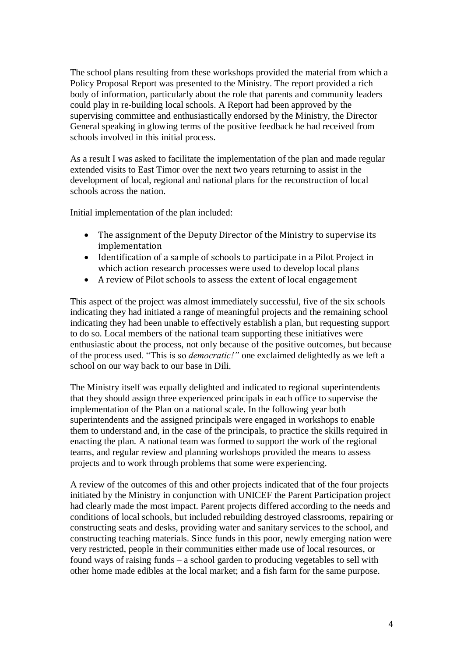The school plans resulting from these workshops provided the material from which a Policy Proposal Report was presented to the Ministry. The report provided a rich body of information, particularly about the role that parents and community leaders could play in re-building local schools. A Report had been approved by the supervising committee and enthusiastically endorsed by the Ministry, the Director General speaking in glowing terms of the positive feedback he had received from schools involved in this initial process.

As a result I was asked to facilitate the implementation of the plan and made regular extended visits to East Timor over the next two years returning to assist in the development of local, regional and national plans for the reconstruction of local schools across the nation.

Initial implementation of the plan included:

- The assignment of the Deputy Director of the Ministry to supervise its implementation
- Identification of a sample of schools to participate in a Pilot Project in which action research processes were used to develop local plans
- A review of Pilot schools to assess the extent of local engagement

This aspect of the project was almost immediately successful, five of the six schools indicating they had initiated a range of meaningful projects and the remaining school indicating they had been unable to effectively establish a plan, but requesting support to do so. Local members of the national team supporting these initiatives were enthusiastic about the process, not only because of the positive outcomes, but because of the process used. "This is so *democratic!"* one exclaimed delightedly as we left a school on our way back to our base in Dili.

The Ministry itself was equally delighted and indicated to regional superintendents that they should assign three experienced principals in each office to supervise the implementation of the Plan on a national scale. In the following year both superintendents and the assigned principals were engaged in workshops to enable them to understand and, in the case of the principals, to practice the skills required in enacting the plan. A national team was formed to support the work of the regional teams, and regular review and planning workshops provided the means to assess projects and to work through problems that some were experiencing.

A review of the outcomes of this and other projects indicated that of the four projects initiated by the Ministry in conjunction with UNICEF the Parent Participation project had clearly made the most impact. Parent projects differed according to the needs and conditions of local schools, but included rebuilding destroyed classrooms, repairing or constructing seats and desks, providing water and sanitary services to the school, and constructing teaching materials. Since funds in this poor, newly emerging nation were very restricted, people in their communities either made use of local resources, or found ways of raising funds – a school garden to producing vegetables to sell with other home made edibles at the local market; and a fish farm for the same purpose.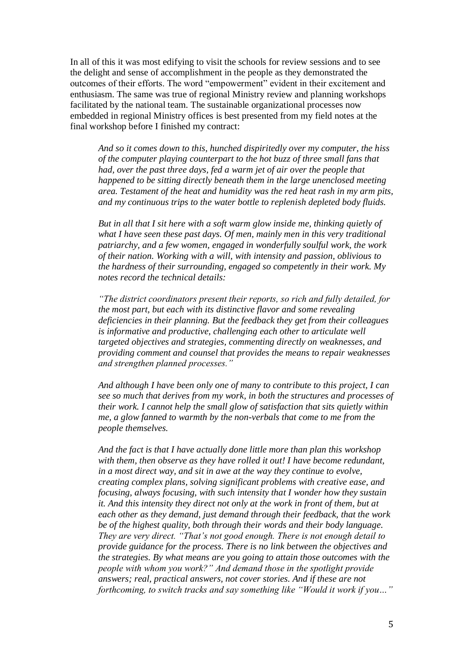In all of this it was most edifying to visit the schools for review sessions and to see the delight and sense of accomplishment in the people as they demonstrated the outcomes of their efforts. The word "empowerment" evident in their excitement and enthusiasm. The same was true of regional Ministry review and planning workshops facilitated by the national team. The sustainable organizational processes now embedded in regional Ministry offices is best presented from my field notes at the final workshop before I finished my contract:

*And so it comes down to this, hunched dispiritedly over my computer, the hiss of the computer playing counterpart to the hot buzz of three small fans that had, over the past three days, fed a warm jet of air over the people that happened to be sitting directly beneath them in the large unenclosed meeting area. Testament of the heat and humidity was the red heat rash in my arm pits, and my continuous trips to the water bottle to replenish depleted body fluids.*

*But in all that I sit here with a soft warm glow inside me, thinking quietly of what I have seen these past days. Of men, mainly men in this very traditional patriarchy, and a few women, engaged in wonderfully soulful work, the work of their nation. Working with a will, with intensity and passion, oblivious to the hardness of their surrounding, engaged so competently in their work. My notes record the technical details:*

*"The district coordinators present their reports, so rich and fully detailed, for the most part, but each with its distinctive flavor and some revealing deficiencies in their planning. But the feedback they get from their colleagues is informative and productive, challenging each other to articulate well targeted objectives and strategies, commenting directly on weaknesses, and providing comment and counsel that provides the means to repair weaknesses and strengthen planned processes."*

*And although I have been only one of many to contribute to this project, I can see so much that derives from my work, in both the structures and processes of their work. I cannot help the small glow of satisfaction that sits quietly within me, a glow fanned to warmth by the non-verbals that come to me from the people themselves.* 

*And the fact is that I have actually done little more than plan this workshop with them, then observe as they have rolled it out! I have become redundant, in a most direct way, and sit in awe at the way they continue to evolve, creating complex plans, solving significant problems with creative ease, and focusing, always focusing, with such intensity that I wonder how they sustain it. And this intensity they direct not only at the work in front of them, but at each other as they demand, just demand through their feedback, that the work be of the highest quality, both through their words and their body language. They are very direct. "That's not good enough. There is not enough detail to provide guidance for the process. There is no link between the objectives and the strategies. By what means are you going to attain those outcomes with the people with whom you work?" And demand those in the spotlight provide answers; real, practical answers, not cover stories. And if these are not forthcoming, to switch tracks and say something like "Would it work if you…"*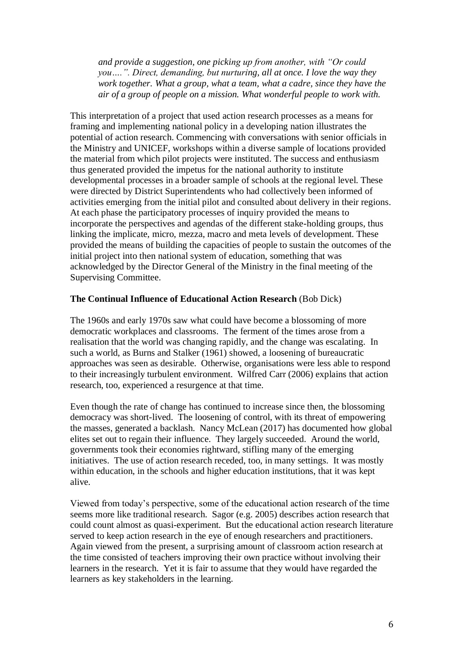*and provide a suggestion, one picking up from another, with "Or could you….". Direct, demanding, but nurturing, all at once. I love the way they work together. What a group, what a team, what a cadre, since they have the air of a group of people on a mission. What wonderful people to work with.*

This interpretation of a project that used action research processes as a means for framing and implementing national policy in a developing nation illustrates the potential of action research. Commencing with conversations with senior officials in the Ministry and UNICEF, workshops within a diverse sample of locations provided the material from which pilot projects were instituted. The success and enthusiasm thus generated provided the impetus for the national authority to institute developmental processes in a broader sample of schools at the regional level. These were directed by District Superintendents who had collectively been informed of activities emerging from the initial pilot and consulted about delivery in their regions. At each phase the participatory processes of inquiry provided the means to incorporate the perspectives and agendas of the different stake-holding groups, thus linking the implicate, micro, mezza, macro and meta levels of development. These provided the means of building the capacities of people to sustain the outcomes of the initial project into then national system of education, something that was acknowledged by the Director General of the Ministry in the final meeting of the Supervising Committee.

### **The Continual Influence of Educational Action Research** (Bob Dick)

The 1960s and early 1970s saw what could have become a blossoming of more democratic workplaces and classrooms. The ferment of the times arose from a realisation that the world was changing rapidly, and the change was escalating. In such a world, as Burns and Stalker (1961) showed, a loosening of bureaucratic approaches was seen as desirable. Otherwise, organisations were less able to respond to their increasingly turbulent environment. Wilfred Carr (2006) explains that action research, too, experienced a resurgence at that time.

Even though the rate of change has continued to increase since then, the blossoming democracy was short-lived. The loosening of control, with its threat of empowering the masses, generated a backlash. Nancy McLean (2017) has documented how global elites set out to regain their influence. They largely succeeded. Around the world, governments took their economies rightward, stifling many of the emerging initiatives. The use of action research receded, too, in many settings. It was mostly within education, in the schools and higher education institutions, that it was kept alive.

Viewed from today's perspective, some of the educational action research of the time seems more like traditional research. Sagor (e.g. 2005) describes action research that could count almost as quasi-experiment. But the educational action research literature served to keep action research in the eye of enough researchers and practitioners. Again viewed from the present, a surprising amount of classroom action research at the time consisted of teachers improving their own practice without involving their learners in the research. Yet it is fair to assume that they would have regarded the learners as key stakeholders in the learning.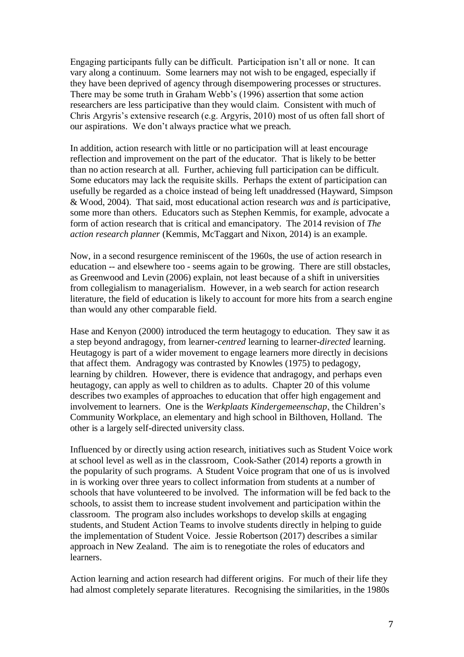Engaging participants fully can be difficult. Participation isn't all or none. It can vary along a continuum. Some learners may not wish to be engaged, especially if they have been deprived of agency through disempowering processes or structures. There may be some truth in Graham Webb's (1996) assertion that some action researchers are less participative than they would claim. Consistent with much of Chris Argyris's extensive research (e.g. Argyris, 2010) most of us often fall short of our aspirations. We don't always practice what we preach.

In addition, action research with little or no participation will at least encourage reflection and improvement on the part of the educator. That is likely to be better than no action research at all. Further, achieving full participation can be difficult. Some educators may lack the requisite skills. Perhaps the extent of participation can usefully be regarded as a choice instead of being left unaddressed (Hayward, Simpson & Wood, 2004). That said, most educational action research *was* and *is* participative, some more than others. Educators such as Stephen Kemmis, for example, advocate a form of action research that is critical and emancipatory. The 2014 revision of *The action research planner* (Kemmis, McTaggart and Nixon, 2014) is an example.

Now, in a second resurgence reminiscent of the 1960s, the use of action research in education -- and elsewhere too - seems again to be growing. There are still obstacles, as Greenwood and Levin (2006) explain, not least because of a shift in universities from collegialism to managerialism. However, in a web search for action research literature, the field of education is likely to account for more hits from a search engine than would any other comparable field.

Hase and Kenyon (2000) introduced the term heutagogy to education. They saw it as a step beyond andragogy, from learner-*centred* learning to learner-*directed* learning. Heutagogy is part of a wider movement to engage learners more directly in decisions that affect them. Andragogy was contrasted by Knowles (1975) to pedagogy, learning by children. However, there is evidence that andragogy, and perhaps even heutagogy, can apply as well to children as to adults. Chapter 20 of this volume describes two examples of approaches to education that offer high engagement and involvement to learners. One is the *Werkplaats Kindergemeenschap*, the Children's Community Workplace, an elementary and high school in Bilthoven, Holland. The other is a largely self-directed university class.

Influenced by or directly using action research, initiatives such as Student Voice work at school level as well as in the classroom, Cook-Sather (2014) reports a growth in the popularity of such programs. A Student Voice program that one of us is involved in is working over three years to collect information from students at a number of schools that have volunteered to be involved. The information will be fed back to the schools, to assist them to increase student involvement and participation within the classroom. The program also includes workshops to develop skills at engaging students, and Student Action Teams to involve students directly in helping to guide the implementation of Student Voice. Jessie Robertson (2017) describes a similar approach in New Zealand. The aim is to renegotiate the roles of educators and learners.

Action learning and action research had different origins. For much of their life they had almost completely separate literatures. Recognising the similarities, in the 1980s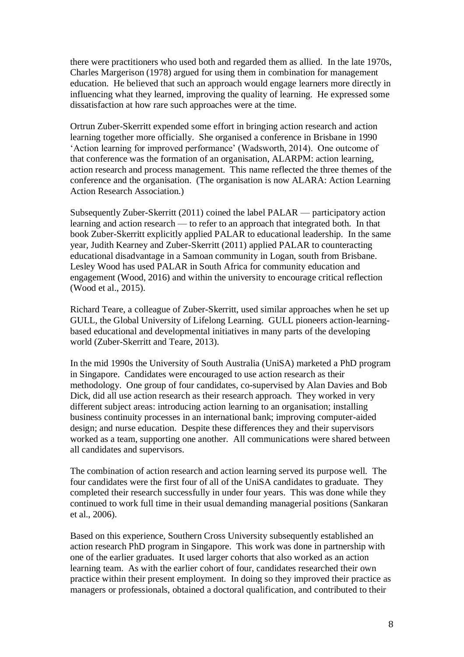there were practitioners who used both and regarded them as allied. In the late 1970s, Charles Margerison (1978) argued for using them in combination for management education. He believed that such an approach would engage learners more directly in influencing what they learned, improving the quality of learning. He expressed some dissatisfaction at how rare such approaches were at the time.

Ortrun Zuber-Skerritt expended some effort in bringing action research and action learning together more officially. She organised a conference in Brisbane in 1990 'Action learning for improved performance' (Wadsworth, 2014). One outcome of that conference was the formation of an organisation, ALARPM: action learning, action research and process management. This name reflected the three themes of the conference and the organisation. (The organisation is now ALARA: Action Learning Action Research Association.)

Subsequently Zuber-Skerritt (2011) coined the label PALAR — participatory action learning and action research — to refer to an approach that integrated both. In that book Zuber-Skerritt explicitly applied PALAR to educational leadership. In the same year, Judith Kearney and Zuber-Skerritt (2011) applied PALAR to counteracting educational disadvantage in a Samoan community in Logan, south from Brisbane. Lesley Wood has used PALAR in South Africa for community education and engagement (Wood, 2016) and within the university to encourage critical reflection (Wood et al., 2015).

Richard Teare, a colleague of Zuber-Skerritt, used similar approaches when he set up GULL, the Global University of Lifelong Learning. GULL pioneers action-learningbased educational and developmental initiatives in many parts of the developing world (Zuber-Skerritt and Teare, 2013).

In the mid 1990s the University of South Australia (UniSA) marketed a PhD program in Singapore. Candidates were encouraged to use action research as their methodology. One group of four candidates, co-supervised by Alan Davies and Bob Dick, did all use action research as their research approach. They worked in very different subject areas: introducing action learning to an organisation; installing business continuity processes in an international bank; improving computer-aided design; and nurse education. Despite these differences they and their supervisors worked as a team, supporting one another. All communications were shared between all candidates and supervisors.

The combination of action research and action learning served its purpose well. The four candidates were the first four of all of the UniSA candidates to graduate. They completed their research successfully in under four years. This was done while they continued to work full time in their usual demanding managerial positions (Sankaran et al., 2006).

Based on this experience, Southern Cross University subsequently established an action research PhD program in Singapore. This work was done in partnership with one of the earlier graduates. It used larger cohorts that also worked as an action learning team. As with the earlier cohort of four, candidates researched their own practice within their present employment. In doing so they improved their practice as managers or professionals, obtained a doctoral qualification, and contributed to their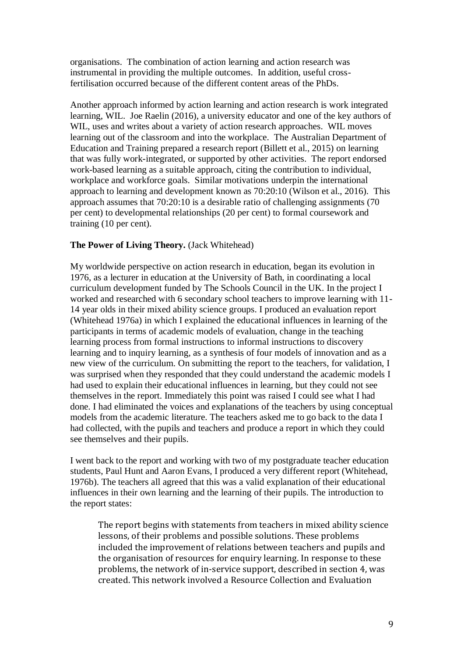organisations. The combination of action learning and action research was instrumental in providing the multiple outcomes. In addition, useful crossfertilisation occurred because of the different content areas of the PhDs.

Another approach informed by action learning and action research is work integrated learning, WIL. Joe Raelin (2016), a university educator and one of the key authors of WIL, uses and writes about a variety of action research approaches. WIL moves learning out of the classroom and into the workplace. The Australian Department of Education and Training prepared a research report (Billett et al., 2015) on learning that was fully work-integrated, or supported by other activities. The report endorsed work-based learning as a suitable approach, citing the contribution to individual, workplace and workforce goals. Similar motivations underpin the international approach to learning and development known as 70:20:10 (Wilson et al., 2016). This approach assumes that 70:20:10 is a desirable ratio of challenging assignments (70 per cent) to developmental relationships (20 per cent) to formal coursework and training (10 per cent).

# **The Power of Living Theory.** (Jack Whitehead)

My worldwide perspective on action research in education, began its evolution in 1976, as a lecturer in education at the University of Bath, in coordinating a local curriculum development funded by The Schools Council in the UK. In the project I worked and researched with 6 secondary school teachers to improve learning with 11- 14 year olds in their mixed ability science groups. I produced an evaluation report (Whitehead 1976a) in which I explained the educational influences in learning of the participants in terms of academic models of evaluation, change in the teaching learning process from formal instructions to informal instructions to discovery learning and to inquiry learning, as a synthesis of four models of innovation and as a new view of the curriculum. On submitting the report to the teachers, for validation, I was surprised when they responded that they could understand the academic models I had used to explain their educational influences in learning, but they could not see themselves in the report. Immediately this point was raised I could see what I had done. I had eliminated the voices and explanations of the teachers by using conceptual models from the academic literature. The teachers asked me to go back to the data I had collected, with the pupils and teachers and produce a report in which they could see themselves and their pupils.

I went back to the report and working with two of my postgraduate teacher education students, Paul Hunt and Aaron Evans, I produced a very different report (Whitehead, 1976b). The teachers all agreed that this was a valid explanation of their educational influences in their own learning and the learning of their pupils. The introduction to the report states:

The report begins with statements from teachers in mixed ability science lessons, of their problems and possible solutions. These problems included the improvement of relations between teachers and pupils and the organisation of resources for enquiry learning. In response to these problems, the network of in-service support, described in section 4, was created. This network involved a Resource Collection and Evaluation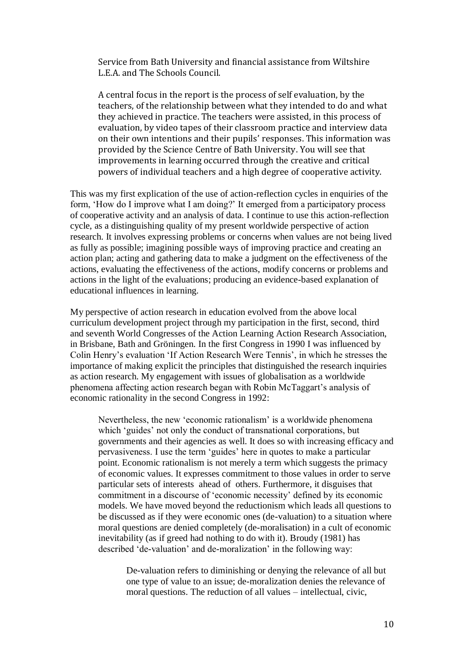Service from Bath University and financial assistance from Wiltshire L.E.A. and The Schools Council.

A central focus in the report is the process of self evaluation, by the teachers, of the relationship between what they intended to do and what they achieved in practice. The teachers were assisted, in this process of evaluation, by video tapes of their classroom practice and interview data on their own intentions and their pupils' responses. This information was provided by the Science Centre of Bath University. You will see that improvements in learning occurred through the creative and critical powers of individual teachers and a high degree of cooperative activity.

This was my first explication of the use of action-reflection cycles in enquiries of the form, 'How do I improve what I am doing?' It emerged from a participatory process of cooperative activity and an analysis of data. I continue to use this action-reflection cycle, as a distinguishing quality of my present worldwide perspective of action research. It involves expressing problems or concerns when values are not being lived as fully as possible; imagining possible ways of improving practice and creating an action plan; acting and gathering data to make a judgment on the effectiveness of the actions, evaluating the effectiveness of the actions, modify concerns or problems and actions in the light of the evaluations; producing an evidence-based explanation of educational influences in learning.

My perspective of action research in education evolved from the above local curriculum development project through my participation in the first, second, third and seventh World Congresses of the Action Learning Action Research Association, in Brisbane, Bath and Gröningen. In the first Congress in 1990 I was influenced by Colin Henry's evaluation 'If Action Research Were Tennis', in which he stresses the importance of making explicit the principles that distinguished the research inquiries as action research. My engagement with issues of globalisation as a worldwide phenomena affecting action research began with Robin McTaggart's analysis of economic rationality in the second Congress in 1992:

Nevertheless, the new 'economic rationalism' is a worldwide phenomena which 'guides' not only the conduct of transnational corporations, but governments and their agencies as well. It does so with increasing efficacy and pervasiveness. I use the term 'guides' here in quotes to make a particular point. Economic rationalism is not merely a term which suggests the primacy of economic values. It expresses commitment to those values in order to serve particular sets of interests ahead of others. Furthermore, it disguises that commitment in a discourse of 'economic necessity' defined by its economic models. We have moved beyond the reductionism which leads all questions to be discussed as if they were economic ones (de-valuation) to a situation where moral questions are denied completely (de-moralisation) in a cult of economic inevitability (as if greed had nothing to do with it). Broudy (1981) has described 'de-valuation' and de-moralization' in the following way:

De-valuation refers to diminishing or denying the relevance of all but one type of value to an issue; de-moralization denies the relevance of moral questions. The reduction of all values – intellectual, civic,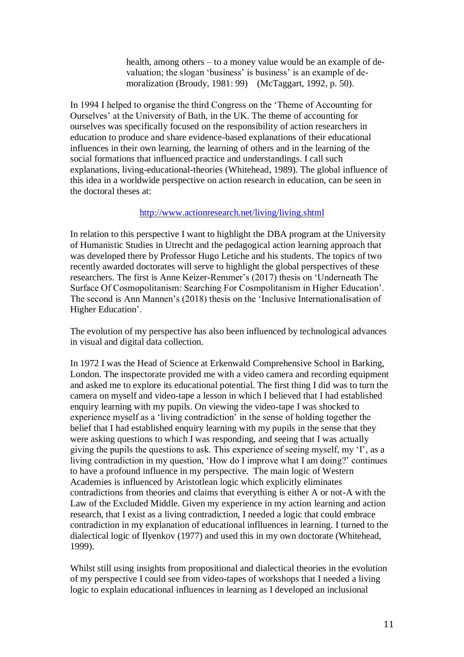health, among others – to a money value would be an example of devaluation; the slogan 'business' is business' is an example of demoralization (Broudy, 1981: 99) (McTaggart, 1992, p. 50).

In 1994 I helped to organise the third Congress on the 'Theme of Accounting for Ourselves' at the University of Bath, in the UK. The theme of accounting for ourselves was specifically focused on the responsibility of action researchers in education to produce and share evidence-based explanations of their educational influences in their own learning, the learning of others and in the learning of the social formations that influenced practice and understandings. I call such explanations, living-educational-theories (Whitehead, 1989). The global influence of this idea in a worldwide perspective on action research in education, can be seen in the doctoral theses at:

#### <http://www.actionresearch.net/living/living.shtml>

In relation to this perspective I want to highlight the DBA program at the University of Humanistic Studies in Utrecht and the pedagogical action learning approach that was developed there by Professor Hugo Letiche and his students. The topics of two recently awarded doctorates will serve to highlight the global perspectives of these researchers. The first is Anne Keizer-Remmer's (2017) thesis on 'Underneath The Surface Of Cosmopolitanism: Searching For Cosmpolitanism in Higher Education'. The second is Ann Mannen's (2018) thesis on the 'Inclusive Internationalisation of Higher Education'.

The evolution of my perspective has also been influenced by technological advances in visual and digital data collection.

In 1972 I was the Head of Science at Erkenwald Comprehensive School in Barking, London. The inspectorate provided me with a video camera and recording equipment and asked me to explore its educational potential. The first thing I did was to turn the camera on myself and video-tape a lesson in which I believed that I had established enquiry learning with my pupils. On viewing the video-tape I was shocked to experience myself as a 'living contradiction' in the sense of holding together the belief that I had established enquiry learning with my pupils in the sense that they were asking questions to which I was responding, and seeing that I was actually giving the pupils the questions to ask. This experience of seeing myself, my 'I', as a living contradiction in my question, 'How do I improve what I am doing?' continues to have a profound influence in my perspective. The main logic of Western Academies is influenced by Aristotlean logic which explicitly eliminates contradictions from theories and claims that everything is either A or not-A with the Law of the Excluded Middle. Given my experience in my action learning and action research, that I exist as a living contradiction, I needed a logic that could embrace contradiction in my explanation of educational inflluences in learning. I turned to the dialectical logic of Ilyenkov (1977) and used this in my own doctorate (Whitehead, 1999).

Whilst still using insights from propositional and dialectical theories in the evolution of my perspective I could see from video-tapes of workshops that I needed a living logic to explain educational influences in learning as I developed an inclusional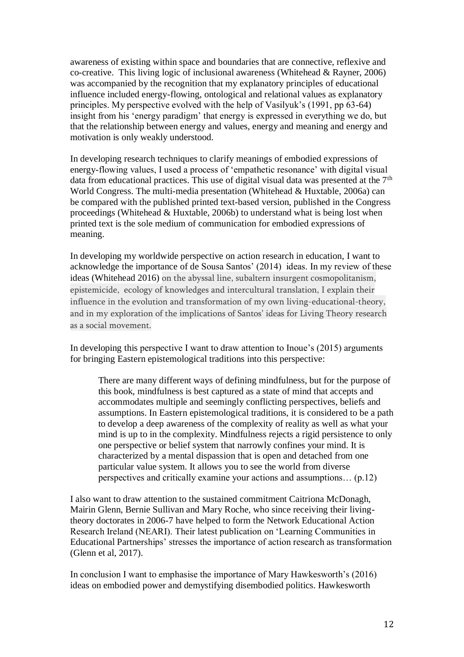awareness of existing within space and boundaries that are connective, reflexive and co-creative. This living logic of inclusional awareness (Whitehead & Rayner, 2006) was accompanied by the recognition that my explanatory principles of educational influence included energy-flowing, ontological and relational values as explanatory principles. My perspective evolved with the help of Vasilyuk's (1991, pp 63-64) insight from his 'energy paradigm' that energy is expressed in everything we do, but that the relationship between energy and values, energy and meaning and energy and motivation is only weakly understood.

In developing research techniques to clarify meanings of embodied expressions of energy-flowing values, I used a process of 'empathetic resonance' with digital visual data from educational practices. This use of digital visual data was presented at the 7<sup>th</sup> World Congress. The multi-media presentation (Whitehead & Huxtable, 2006a) can be compared with the published printed text-based version, published in the Congress proceedings (Whitehead & Huxtable, 2006b) to understand what is being lost when printed text is the sole medium of communication for embodied expressions of meaning.

In developing my worldwide perspective on action research in education, I want to acknowledge the importance of de Sousa Santos' (2014) ideas. In my review of these ideas (Whitehead 2016) on the abyssal line, subaltern insurgent cosmopolitanism, epistemicide, ecology of knowledges and intercultural translation, I explain their influence in the evolution and transformation of my own living-educational-theory, and in my exploration of the implications of Santos' ideas for Living Theory research as a social movement.

In developing this perspective I want to draw attention to Inoue's (2015) arguments for bringing Eastern epistemological traditions into this perspective:

There are many different ways of defining mindfulness, but for the purpose of this book, mindfulness is best captured as a state of mind that accepts and accommodates multiple and seemingly conflicting perspectives, beliefs and assumptions. In Eastern epistemological traditions, it is considered to be a path to develop a deep awareness of the complexity of reality as well as what your mind is up to in the complexity. Mindfulness rejects a rigid persistence to only one perspective or belief system that narrowly confines your mind. It is characterized by a mental dispassion that is open and detached from one particular value system. It allows you to see the world from diverse perspectives and critically examine your actions and assumptions… (p.12)

I also want to draw attention to the sustained commitment Caitriona McDonagh, Mairin Glenn, Bernie Sullivan and Mary Roche, who since receiving their livingtheory doctorates in 2006-7 have helped to form the Network Educational Action Research Ireland (NEARI). Their latest publication on 'Learning Communities in Educational Partnerships' stresses the importance of action research as transformation (Glenn et al, 2017).

In conclusion I want to emphasise the importance of Mary Hawkesworth's (2016) ideas on embodied power and demystifying disembodied politics. Hawkesworth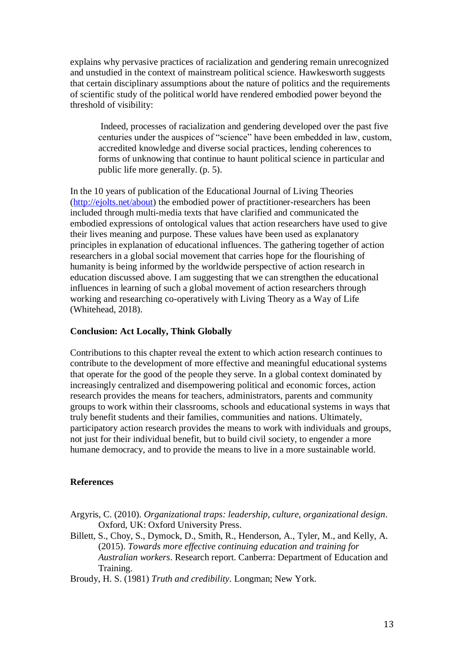explains why pervasive practices of racialization and gendering remain unrecognized and unstudied in the context of mainstream political science. Hawkesworth suggests that certain disciplinary assumptions about the nature of politics and the requirements of scientific study of the political world have rendered embodied power beyond the threshold of visibility:

Indeed, processes of racialization and gendering developed over the past five centuries under the auspices of "science" have been embedded in law, custom, accredited knowledge and diverse social practices, lending coherences to forms of unknowing that continue to haunt political science in particular and public life more generally. (p. 5).

In the 10 years of publication of the Educational Journal of Living Theories [\(http://ejolts.net/about\)](http://ejolts.net/about) the embodied power of practitioner-researchers has been included through multi-media texts that have clarified and communicated the embodied expressions of ontological values that action researchers have used to give their lives meaning and purpose. These values have been used as explanatory principles in explanation of educational influences. The gathering together of action researchers in a global social movement that carries hope for the flourishing of humanity is being informed by the worldwide perspective of action research in education discussed above. I am suggesting that we can strengthen the educational influences in learning of such a global movement of action researchers through working and researching co-operatively with Living Theory as a Way of Life (Whitehead, 2018).

### **Conclusion: Act Locally, Think Globally**

Contributions to this chapter reveal the extent to which action research continues to contribute to the development of more effective and meaningful educational systems that operate for the good of the people they serve. In a global context dominated by increasingly centralized and disempowering political and economic forces, action research provides the means for teachers, administrators, parents and community groups to work within their classrooms, schools and educational systems in ways that truly benefit students and their families, communities and nations. Ultimately, participatory action research provides the means to work with individuals and groups, not just for their individual benefit, but to build civil society, to engender a more humane democracy, and to provide the means to live in a more sustainable world.

#### **References**

- Argyris, C. (2010). *Organizational traps: leadership, culture, organizational design*. Oxford, UK: Oxford University Press.
- Billett, S., Choy, S., Dymock, D., Smith, R., Henderson, A., Tyler, M., and Kelly, A. (2015). *Towards more effective continuing education and training for Australian workers*. Research report. Canberra: Department of Education and Training.
- Broudy, H. S. (1981) *Truth and credibility*. Longman; New York.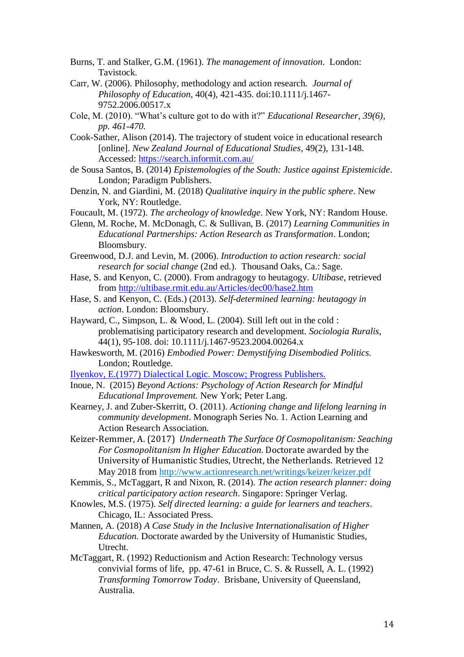- Burns, T. and Stalker, G.M. (1961). *The management of innovation*. London: Tavistock.
- Carr, W. (2006). Philosophy, methodology and action research. *Journal of Philosophy of Education*, 40(4), 421-435. doi:10.1111/j.1467- 9752.2006.00517.x
- Cole, M. (2010). "What's culture got to do with it?" *Educational Researcher, 39(6), pp. 461-470.*
- Cook-Sather, Alison (2014). The trajectory of student voice in educational research [online]. *New Zealand Journal of Educational Studies*, 49(2), 131-148. Accessed:<https://search.informit.com.au/>
- de Sousa Santos, B. (2014) *Epistemologies of the South: Justice against Epistemicide*. London; Paradigm Publishers.
- Denzin, N. and Giardini, M. (2018) *Qualitative inquiry in the public sphere*. New York, NY: Routledge.
- Foucault, M. (1972). *The archeology of knowledge*. New York, NY: Random House.
- Glenn, M. Roche, M. McDonagh, C. & Sullivan, B. (2017) *Learning Communities in Educational Partnerships: Action Research as Transformation*. London; Bloomsbury.
- Greenwood, D.J. and Levin, M. (2006). *Introduction to action research: social research for social change* (2nd ed.). Thousand Oaks, Ca.: Sage.
- Hase, S. and Kenyon, C. (2000). From andragogy to heutagogy. *Ultibase*, retrieved from<http://ultibase.rmit.edu.au/Articles/dec00/hase2.htm>
- Hase, S. and Kenyon, C. (Eds.) (2013). *Self-determined learning: heutagogy in action*. London: Bloomsbury.
- Hayward, C., Simpson, L. & Wood, L. (2004). Still left out in the cold : problematising participatory research and development. *Sociologia Ruralis*, 44(1), 95-108. doi: 10.1111/j.1467-9523.2004.00264.x
- Hawkesworth, M. (2016) *Embodied Power: Demystifying Disembodied Politics.*  London; Routledge.

Ilyenkov, E.(1977) Dialectical Logic. Moscow; Progress Publishers.

- Inoue, N. (2015) *Beyond Actions: Psychology of Action Research for Mindful Educational Improvement.* New York; Peter Lang.
- Kearney, J. and Zuber-Skerritt, O. (2011). *Actioning change and lifelong learning in community development*. Monograph Series No. 1. Action Learning and Action Research Association.
- Keizer-Remmer, A. (2017) *[Underneath The Surface Of Cosmopolitanism: Seaching](http://www.actionresearch.net/writings/keizer/keizer.pdf)  [For Cosmopolitanism In Higher Education](http://www.actionresearch.net/writings/keizer/keizer.pdf)*. Doctorate awarded by the [University of Humanistic Studies, Utrecht, the Netherlands.](http://www.actionresearch.net/writings/keizer/keizer.pdf) Retrieved 12 May 2018 from<http://www.actionresearch.net/writings/keizer/keizer.pdf>
- Kemmis, S., McTaggart, R and Nixon, R. (2014). *The action research planner: doing critical participatory action research*. Singapore: Springer Verlag.
- Knowles, M.S. (1975). *Self directed learning: a guide for learners and teachers*. Chicago, IL: Associated Press.
- Mannen, A. (2018) *A Case Study in the Inclusive Internationalisation of Higher Education.* Doctorate awarded by the University of Humanistic Studies, Utrecht.
- McTaggart, R. (1992) Reductionism and Action Research: Technology versus convivial forms of life, pp. 47-61 in Bruce, C. S. & Russell, A. L. (1992) *Transforming Tomorrow Today*. Brisbane, University of Queensland, Australia.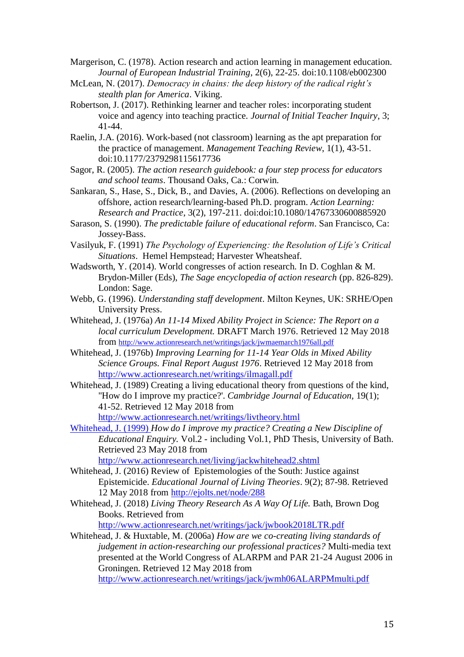Margerison, C. (1978). Action research and action learning in management education. *Journal of European Industrial Training*, 2(6), 22-25. doi:10.1108/eb002300

- McLean, N. (2017). *Democracy in chains: the deep history of the radical right's stealth plan for America*. Viking.
- Robertson, J. (2017). Rethinking learner and teacher roles: incorporating student voice and agency into teaching practice. *Journal of Initial Teacher Inquiry*, 3; 41-44.
- Raelin, J.A. (2016). Work-based (not classroom) learning as the apt preparation for the practice of management. *Management Teaching Review*, 1(1), 43-51. doi:10.1177/2379298115617736
- Sagor, R. (2005). *The action research guidebook: a four step process for educators and school teams*. Thousand Oaks, Ca.: Corwin.
- Sankaran, S., Hase, S., Dick, B., and Davies, A. (2006). Reflections on developing an offshore, action research/learning-based Ph.D. program. *Action Learning: Research and Practice*, 3(2), 197-211. doi:doi:10.1080/14767330600885920
- Sarason, S. (1990). *The predictable failure of educational reform*. San Francisco, Ca: Jossey-Bass.
- Vasilyuk, F. (1991) *The Psychology of Experiencing: the Resolution of Life's Critical Situations*. Hemel Hempstead; Harvester Wheatsheaf.
- Wadsworth, Y. (2014). World congresses of action research. In D. Coghlan & M. Brydon-Miller (Eds), *The Sage encyclopedia of action research* (pp. 826-829). London: Sage.
- Webb, G. (1996). *Understanding staff development*. Milton Keynes, UK: SRHE/Open University Press.
- Whitehead, J. (1976a) *An 11-14 Mixed Ability Project in Science: The Report on a local curriculum Development.* DRAFT March 1976. Retrieved 12 May 2018 from <http://www.actionresearch.net/writings/jack/jwmaemarch1976all.pdf>
- Whitehead, J. (1976b) *Improving Learning for 11-14 Year Olds in Mixed Ability Science Groups. Final Report August 1976*. Retrieved 12 May 2018 from <http://www.actionresearch.net/writings/ilmagall.pdf>
- Whitehead, J. (1989) Creating a living educational theory from questions of the kind, "How do I improve my practice?'. *Cambridge Journal of Education,* 19(1); 41-52. Retrieved 12 May 2018 from <http://www.actionresearch.net/writings/livtheory.html>
- Whitehead, J. (1999) *How do I improve my practice? Creating a New Discipline of Educational Enquiry.* Vol.2 - including Vol.1, PhD Thesis, University of Bath. Retrieved 23 May 2018 from <http://www.actionresearch.net/living/jackwhitehead2.shtml>
- Whitehead, J. (2016) Review of Epistemologies of the South: Justice against
- Epistemicide. *Educational Journal of Living Theories*. 9(2); 87-98. Retrieved 12 May 2018 from<http://ejolts.net/node/288>
- Whitehead, J. (2018) *Living Theory Research As A Way Of Life.* Bath, Brown Dog Books. Retrieved from

<http://www.actionresearch.net/writings/jack/jwbook2018LTR.pdf>

Whitehead, J. & Huxtable, M. (2006a) *How are we co-creating living standards of judgement in action-researching our professional practices?* Multi-media text presented at the World Congress of ALARPM and PAR 21-24 August 2006 in Groningen. Retrieved 12 May 2018 from <http://www.actionresearch.net/writings/jack/jwmh06ALARPMmulti.pdf>